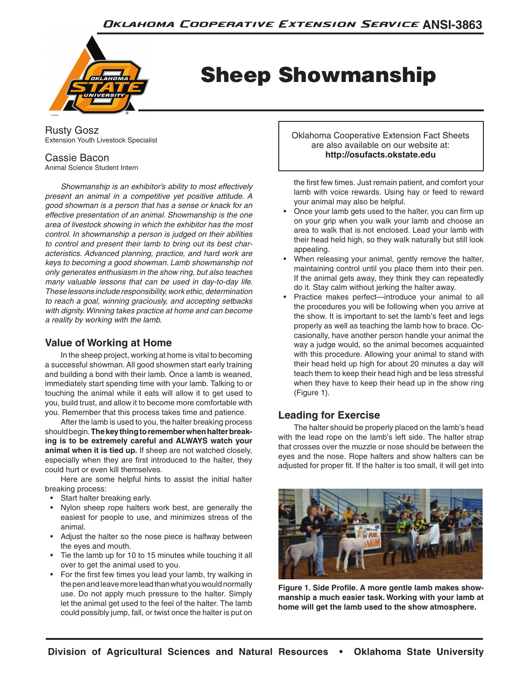

# Sheep Showmanship

Rusty Gosz Extension Youth Livestock Specialist

# Cassie Bacon

Animal Science Student Intern

 *Showmanship is an exhibitor's ability to most effectively present an animal in a competitive yet positive attitude. A good showman is a person that has a sense or knack for an effective presentation of an animal. Showmanship is the one area of livestock showing in which the exhibitor has the most control. In showmanship a person is judged on their abilities to control and present their lamb to bring out its best characteristics. Advanced planning, practice, and hard work are keys to becoming a good showman. Lamb showmanship not only generates enthusiasm in the show ring, but also teaches many valuable lessons that can be used in day-to-day life. Theselessons includeresponsibility,workethic,determination to reach a goal, winning graciously, and accepting setbacks with dignity.Winning takes practice at home and can become a reality by working with the lamb.*

## **Value of Working at Home**

In the sheep project, working at home is vital to becoming a successful showman. All good showmen start early training and building a bond with their lamb. Once a lamb is weaned, immediately start spending time with your lamb. Talking to or touching the animal while it eats will allow it to get used to you, build trust, and allow it to become more comfortable with you. Remember that this process takes time and patience.

After the lamb is used to you, the halter breaking process should begin. **The key thing to remember when halter breaking is to be extremely careful and ALWAYS watch your animal when it is tied up.** If sheep are not watched closely, especially when they are first introduced to the halter, they could hurt or even kill themselves.

Here are some helpful hints to assist the initial halter breaking process:

- Start halter breaking early.
- Nylon sheep rope halters work best, are generally the easiest for people to use, and minimizes stress of the animal.
- Adjust the halter so the nose piece is halfway between the eyes and mouth.
- Tie the lamb up for 10 to 15 minutes while touching it all over to get the animal used to you.
- For the first few times you lead your lamb, try walking in the pen and leave more lead than what you would normally use. Do not apply much pressure to the halter. Simply let the animal get used to the feel of the halter. The lamb could possibly jump, fall, or twist once the halter is put on

Oklahoma Cooperative Extension Fact Sheets are also available on our website at: **http://osufacts.okstate.edu**

the first few times. Just remain patient, and comfort your lamb with voice rewards. Using hay or feed to reward your animal may also be helpful.

- Once your lamb gets used to the halter, you can firm up on your grip when you walk your lamb and choose an area to walk that is not enclosed. Lead your lamb with their head held high, so they walk naturally but still look appealing.
- When releasing your animal, gently remove the halter, maintaining control until you place them into their pen. If the animal gets away, they think they can repeatedly do it. Stay calm without jerking the halter away.
- Practice makes perfect—introduce your animal to all the procedures you will be following when you arrive at the show. It is important to set the lamb's feet and legs properly as well as teaching the lamb how to brace. Occasionally, have another person handle your animal the way a judge would, so the animal becomes acquainted with this procedure. Allowing your animal to stand with their head held up high for about 20 minutes a day will teach them to keep their head high and be less stressful when they have to keep their head up in the show ring (Figure 1).

# **Leading for Exercise**

The halter should be properly placed on the lamb's head with the lead rope on the lamb's left side. The halter strap that crosses over the muzzle or nose should be between the eyes and the nose. Rope halters and show halters can be adjusted for proper fit. If the halter is too small, it will get into



**Figure 1. Side Profile. A more gentle lamb makes showmanship a much easier task. Working with your lamb at home will get the lamb used to the show atmosphere.**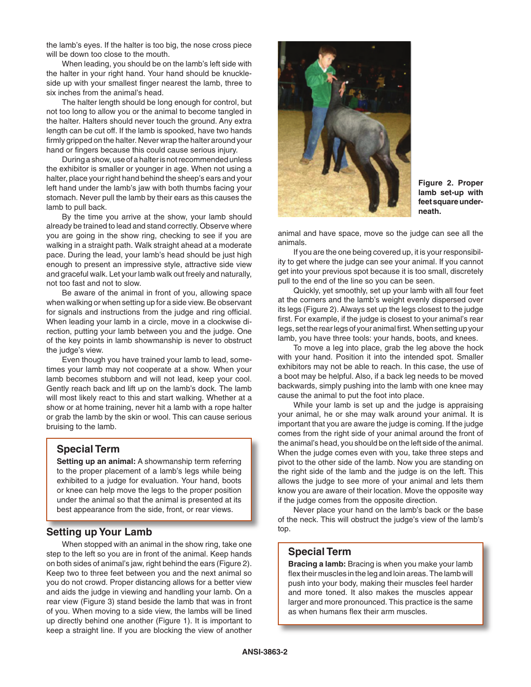the lamb's eyes. If the halter is too big, the nose cross piece will be down too close to the mouth.

When leading, you should be on the lamb's left side with the halter in your right hand. Your hand should be knuckleside up with your smallest finger nearest the lamb, three to six inches from the animal's head.

The halter length should be long enough for control, but not too long to allow you or the animal to become tangled in the halter. Halters should never touch the ground. Any extra length can be cut off. If the lamb is spooked, have two hands firmly gripped on the halter. Never wrap the halter around your hand or fingers because this could cause serious injury.

During a show, use of a halter is not recommended unless the exhibitor is smaller or younger in age. When not using a halter, place your right hand behind the sheep's ears and your left hand under the lamb's jaw with both thumbs facing your stomach. Never pull the lamb by their ears as this causes the lamb to pull back.

By the time you arrive at the show, your lamb should already be trained to lead and stand correctly. Observe where you are going in the show ring, checking to see if you are walking in a straight path. Walk straight ahead at a moderate pace. During the lead, your lamb's head should be just high enough to present an impressive style, attractive side view and graceful walk. Let your lamb walk out freely and naturally, not too fast and not to slow.

Be aware of the animal in front of you, allowing space when walking or when setting up for a side view. Be observant for signals and instructions from the judge and ring official. When leading your lamb in a circle, move in a clockwise direction, putting your lamb between you and the judge. One of the key points in lamb showmanship is never to obstruct the judge's view.

Even though you have trained your lamb to lead, sometimes your lamb may not cooperate at a show. When your lamb becomes stubborn and will not lead, keep your cool. Gently reach back and lift up on the lamb's dock. The lamb will most likely react to this and start walking. Whether at a show or at home training, never hit a lamb with a rope halter or grab the lamb by the skin or wool. This can cause serious bruising to the lamb.

#### **Special Term**

**Setting up an animal:** A showmanship term referring to the proper placement of a lamb's legs while being exhibited to a judge for evaluation. Your hand, boots or knee can help move the legs to the proper position under the animal so that the animal is presented at its best appearance from the side, front, or rear views.

### **Setting up Your Lamb**

When stopped with an animal in the show ring, take one step to the left so you are in front of the animal. Keep hands on both sides of animal's jaw, right behind the ears (Figure 2). Keep two to three feet between you and the next animal so you do not crowd. Proper distancing allows for a better view and aids the judge in viewing and handling your lamb. On a rear view (Figure 3) stand beside the lamb that was in front of you. When moving to a side view, the lambs will be lined up directly behind one another (Figure 1). It is important to keep a straight line. If you are blocking the view of another



**Figure 2. Proper lamb set-up with feet square underneath.**

animal and have space, move so the judge can see all the animals.

If you are the one being covered up, it is your responsibility to get where the judge can see your animal. If you cannot get into your previous spot because it is too small, discretely pull to the end of the line so you can be seen.

Quickly, yet smoothly, set up your lamb with all four feet at the corners and the lamb's weight evenly dispersed over its legs (Figure 2). Always set up the legs closest to the judge first. For example, if the judge is closest to your animal's rear legs, set the rear legs of your animal first. When setting up your lamb, you have three tools: your hands, boots, and knees.

To move a leg into place, grab the leg above the hock with your hand. Position it into the intended spot. Smaller exhibitors may not be able to reach. In this case, the use of a boot may be helpful. Also, if a back leg needs to be moved backwards, simply pushing into the lamb with one knee may cause the animal to put the foot into place.

While your lamb is set up and the judge is appraising your animal, he or she may walk around your animal. It is important that you are aware the judge is coming. If the judge comes from the right side of your animal around the front of the animal's head, you should be on the left side of the animal. When the judge comes even with you, take three steps and pivot to the other side of the lamb. Now you are standing on the right side of the lamb and the judge is on the left. This allows the judge to see more of your animal and lets them know you are aware of their location. Move the opposite way if the judge comes from the opposite direction.

Never place your hand on the lamb's back or the base of the neck. This will obstruct the judge's view of the lamb's top.

#### **Special Term**

**Bracing a lamb:** Bracing is when you make your lamb flex their muscles in the leg and loin areas. The lamb will push into your body, making their muscles feel harder and more toned. It also makes the muscles appear larger and more pronounced. This practice is the same as when humans flex their arm muscles.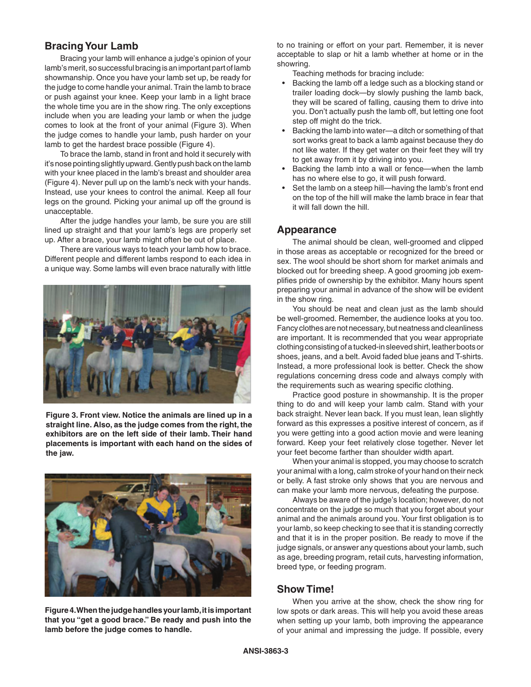## **Bracing Your Lamb**

Bracing your lamb will enhance a judge's opinion of your lamb's merit, so successful bracing is an important part of lamb showmanship. Once you have your lamb set up, be ready for the judge to come handle your animal. Train the lamb to brace or push against your knee. Keep your lamb in a light brace the whole time you are in the show ring. The only exceptions include when you are leading your lamb or when the judge comes to look at the front of your animal (Figure 3). When the judge comes to handle your lamb, push harder on your lamb to get the hardest brace possible (Figure 4).

To brace the lamb, stand in front and hold it securely with it's nose pointing slightly upward. Gently push back on the lamb with your knee placed in the lamb's breast and shoulder area (Figure 4). Never pull up on the lamb's neck with your hands. Instead, use your knees to control the animal. Keep all four legs on the ground. Picking your animal up off the ground is unacceptable.

After the judge handles your lamb, be sure you are still lined up straight and that your lamb's legs are properly set up. After a brace, your lamb might often be out of place.

There are various ways to teach your lamb how to brace. Different people and different lambs respond to each idea in a unique way. Some lambs will even brace naturally with little



**Figure 3. Front view. Notice the animals are lined up in a straight line. Also, as the judge comes from the right, the exhibitors are on the left side of their lamb. Their hand placements is important with each hand on the sides of the jaw.**



**Figure 4. When the judge handles your lamb, it is important that you "get a good brace." Be ready and push into the lamb before the judge comes to handle.**

to no training or effort on your part. Remember, it is never acceptable to slap or hit a lamb whether at home or in the showring.

Teaching methods for bracing include:

- Backing the lamb off a ledge such as a blocking stand or trailer loading dock—by slowly pushing the lamb back, they will be scared of falling, causing them to drive into you. Don't actually push the lamb off, but letting one foot step off might do the trick.
- Backing the lamb into water—a ditch or something of that sort works great to back a lamb against because they do not like water. If they get water on their feet they will try to get away from it by driving into you.
- Backing the lamb into a wall or fence—when the lamb has no where else to go, it will push forward.
- Set the lamb on a steep hill—having the lamb's front end on the top of the hill will make the lamb brace in fear that it will fall down the hill.

#### **Appearance**

The animal should be clean, well-groomed and clipped in those areas as acceptable or recognized for the breed or sex. The wool should be short shorn for market animals and blocked out for breeding sheep. A good grooming job exemplifies pride of ownership by the exhibitor. Many hours spent preparing your animal in advance of the show will be evident in the show ring.

You should be neat and clean just as the lamb should be well-groomed. Remember, the audience looks at you too. Fancy clothes are not necessary, but neatness and cleanliness are important. It is recommended that you wear appropriate clothing consisting of a tucked-in sleeved shirt, leather boots or shoes, jeans, and a belt. Avoid faded blue jeans and T-shirts. Instead, a more professional look is better. Check the show regulations concerning dress code and always comply with the requirements such as wearing specific clothing.

Practice good posture in showmanship. It is the proper thing to do and will keep your lamb calm. Stand with your back straight. Never lean back. If you must lean, lean slightly forward as this expresses a positive interest of concern, as if you were getting into a good action movie and were leaning forward. Keep your feet relatively close together. Never let your feet become farther than shoulder width apart.

When your animal is stopped, you may choose to scratch your animal with a long, calm stroke of your hand on their neck or belly. A fast stroke only shows that you are nervous and can make your lamb more nervous, defeating the purpose.

Always be aware of the judge's location; however, do not concentrate on the judge so much that you forget about your animal and the animals around you. Your first obligation is to your lamb, so keep checking to see that it is standing correctly and that it is in the proper position. Be ready to move if the judge signals, or answer any questions about your lamb, such as age, breeding program, retail cuts, harvesting information, breed type, or feeding program.

#### **Show Time!**

When you arrive at the show, check the show ring for low spots or dark areas. This will help you avoid these areas when setting up your lamb, both improving the appearance of your animal and impressing the judge. If possible, every